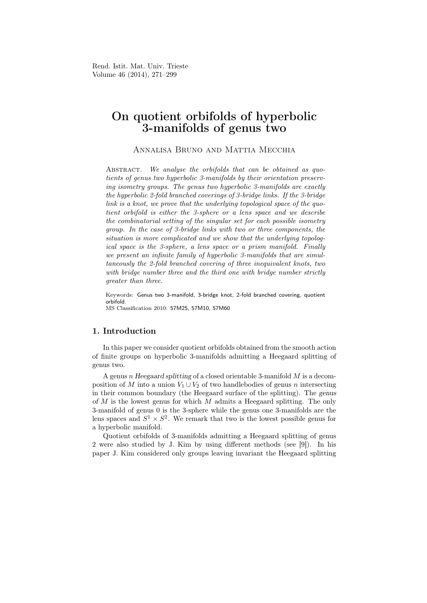Rend. Istit. Mat. Univ. Trieste Volume 46 (2014), 271–299

# On quotient orbifolds of hyperbolic 3-manifolds of genus two

Annalisa Bruno and Mattia Mecchia

ABSTRACT. We analyse the orbifolds that can be obtained as quotients of genus two hyperbolic 3-manifolds by their orientation preserving isometry groups. The genus two hyperbolic 3-manifolds are exactly the hyperbolic 2-fold branched coverings of 3-bridge links. If the 3-bridge link is a knot, we prove that the underlying topological space of the quotient orbifold is either the 3-sphere or a lens space and we describe the combinatorial setting of the singular set for each possible isometry group. In the case of 3-bridge links with two or three components, the situation is more complicated and we show that the underlying topological space is the 3-sphere, a lens space or a prism manifold. Finally we present an infinite family of hyperbolic 3-manifolds that are simultaneously the 2-fold branched covering of three inequivalent knots, two with bridge number three and the third one with bridge number strictly greater than three.

Keywords: Genus two 3-manifold, 3-bridge knot, 2-fold branched covering, quotient orbifold. MS Classification 2010: 57M25, 57M10, 57M60

### 1. Introduction

In this paper we consider quotient orbifolds obtained from the smooth action of finite groups on hyperbolic 3-manifolds admitting a Heegaard splitting of genus two.

A genus n *Heegaard splitting* of a closed orientable 3-manifold M is a decomposition of M into a union  $V_1 \cup V_2$  of two handlebodies of genus n intersecting in their common boundary (the Heegaard surface of the splitting). The *genus of* M is the lowest genus for which M admits a Heegaard splitting. The only 3-manifold of genus 0 is the 3-sphere while the genus one 3-manifolds are the lens spaces and  $S^1 \times S^2$ . We remark that two is the lowest possible genus for a hyperbolic manifold.

Quotient orbifolds of 3-manifolds admitting a Heegaard splitting of genus 2 were also studied by J. Kim by using different methods (see [9]). In his paper J. Kim considered only groups leaving invariant the Heegaard splitting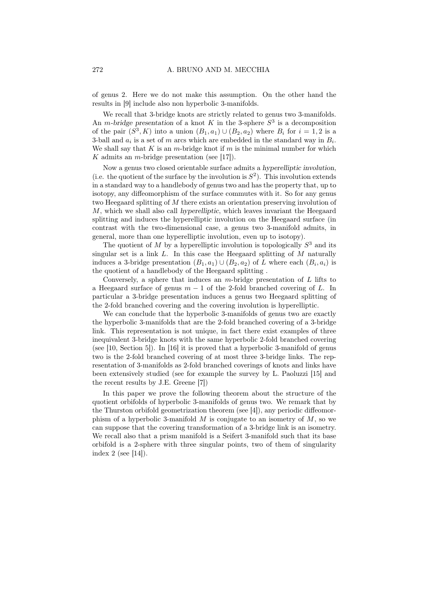of genus 2. Here we do not make this assumption. On the other hand the results in [9] include also non hyperbolic 3-manifolds.

We recall that 3-bridge knots are strictly related to genus two 3-manifolds. An *m*-bridge presentation of a knot K in the 3-sphere  $S<sup>3</sup>$  is a decomposition of the pair  $(S^3, K)$  into a union  $(B_1, a_1) \cup (B_2, a_2)$  where  $B_i$  for  $i = 1, 2$  is a 3-ball and  $a_i$  is a set of m arcs which are embedded in the standard way in  $B_i$ . We shall say that K is an m-bridge knot if  $m$  is the minimal number for which K admits an *m*-bridge presentation (see [17]).

Now a genus two closed orientable surface admits a *hyperelliptic involution*, (i.e. the quotient of the surface by the involution is  $S^2$ ). This involution extends in a standard way to a handlebody of genus two and has the property that, up to isotopy, any diffeomorphism of the surface commutes with it. So for any genus two Heegaard splitting of M there exists an orientation preserving involution of M, which we shall also call *hyperelliptic*, which leaves invariant the Heegaard splitting and induces the hyperelliptic involution on the Heegaard surface (in contrast with the two-dimensional case, a genus two 3-manifold admits, in general, more than one hyperelliptic involution, even up to isotopy).

The quotient of M by a hyperelliptic involution is topologically  $S^3$  and its singular set is a link  $L$ . In this case the Heegaard splitting of  $M$  naturally induces a 3-bridge presentation  $(B_1, a_1) \cup (B_2, a_2)$  of L where each  $(B_i, a_i)$  is the quotient of a handlebody of the Heegaard splitting .

Conversely, a sphere that induces an  $m$ -bridge presentation of  $L$  lifts to a Heegaard surface of genus  $m-1$  of the 2-fold branched covering of L. In particular a 3-bridge presentation induces a genus two Heegaard splitting of the 2-fold branched covering and the covering involution is hyperelliptic.

We can conclude that the hyperbolic 3-manifolds of genus two are exactly the hyperbolic 3-manifolds that are the 2-fold branched covering of a 3-bridge link. This representation is not unique, in fact there exist examples of three inequivalent 3-bridge knots with the same hyperbolic 2-fold branched covering (see [10, Section 5]). In [16] it is proved that a hyperbolic 3-manifold of genus two is the 2-fold branched covering of at most three 3-bridge links. The representation of 3-manifolds as 2-fold branched coverings of knots and links have been extensively studied (see for example the survey by L. Paoluzzi [15] and the recent results by J.E. Greene [7])

In this paper we prove the following theorem about the structure of the quotient orbifolds of hyperbolic 3-manifolds of genus two. We remark that by the Thurston orbifold geometrization theorem (see [4]), any periodic diffeomorphism of a hyperbolic 3-manifold  $M$  is conjugate to an isometry of  $M$ , so we can suppose that the covering transformation of a 3-bridge link is an isometry. We recall also that a prism manifold is a Seifert 3-manifold such that its base orbifold is a 2-sphere with three singular points, two of them of singularity index 2 (see [14]).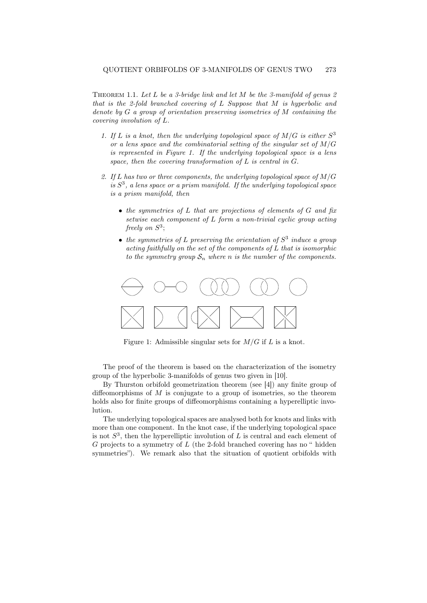THEOREM 1.1. Let L be a 3-bridge link and let M be the 3-manifold of genus  $2$ that is the 2-fold branched covering of L Suppose that M is hyperbolic and denote by G a group of orientation preserving isometries of M containing the covering involution of L.

- 1. If L is a knot, then the underlying topological space of  $M/G$  is either  $S^3$ or a lens space and the combinatorial setting of the singular set of  $M/G$ is represented in Figure 1. If the underlying topological space is a lens space, then the covering transformation of  $L$  is central in  $G$ .
- 2. If L has two or three components, the underlying topological space of  $M/G$ is  $S<sup>3</sup>$ , a lens space or a prism manifold. If the underlying topological space is a prism manifold, then
	- the symmetries of L that are projections of elements of G and fix setwise each component of L form a non-trivial cyclic group acting freely on  $S^3$ ;
	- the symmetries of L preserving the orientation of  $S<sup>3</sup>$  induce a group acting faithfully on the set of the components of L that is isomorphic to the symmetry group  $S_n$  where n is the number of the components.



Figure 1: Admissible singular sets for  $M/G$  if L is a knot.

The proof of the theorem is based on the characterization of the isometry group of the hyperbolic 3-manifolds of genus two given in [10].

By Thurston orbifold geometrization theorem (see [4]) any finite group of diffeomorphisms of  $M$  is conjugate to a group of isometries, so the theorem holds also for finite groups of diffeomorphisms containing a hyperelliptic involution.

The underlying topological spaces are analysed both for knots and links with more than one component. In the knot case, if the underlying topological space is not  $S<sup>3</sup>$ , then the hyperelliptic involution of L is central and each element of  $G$  projects to a symmetry of  $L$  (the 2-fold branched covering has no " hidden symmetries"). We remark also that the situation of quotient orbifolds with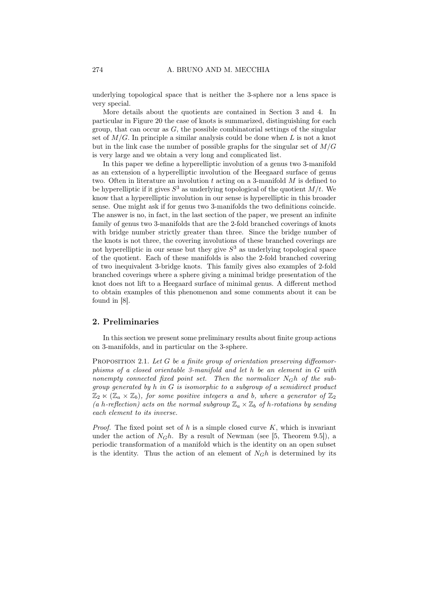underlying topological space that is neither the 3-sphere nor a lens space is very special.

More details about the quotients are contained in Section 3 and 4. In particular in Figure 20 the case of knots is summarized, distinguishing for each group, that can occur as  $G$ , the possible combinatorial settings of the singular set of  $M/G$ . In principle a similar analysis could be done when L is not a knot but in the link case the number of possible graphs for the singular set of  $M/G$ is very large and we obtain a very long and complicated list.

In this paper we define a hyperelliptic involution of a genus two 3-manifold as an extension of a hyperelliptic involution of the Heegaard surface of genus two. Often in literature an involution t acting on a 3-manifold  $M$  is defined to be hyperelliptic if it gives  $S^3$  as underlying topological of the quotient  $M/t$ . We know that a hyperelliptic involution in our sense is hyperelliptic in this broader sense. One might ask if for genus two 3-manifolds the two definitions coincide. The answer is no, in fact, in the last section of the paper, we present an infinite family of genus two 3-manifolds that are the 2-fold branched coverings of knots with bridge number strictly greater than three. Since the bridge number of the knots is not three, the covering involutions of these branched coverings are not hyperelliptic in our sense but they give  $S<sup>3</sup>$  as underlying topological space of the quotient. Each of these manifolds is also the 2-fold branched covering of two inequivalent 3-bridge knots. This family gives also examples of 2-fold branched coverings where a sphere giving a minimal bridge presentation of the knot does not lift to a Heegaard surface of minimal genus. A different method to obtain examples of this phenomenon and some comments about it can be found in [8].

#### 2. Preliminaries

In this section we present some preliminary results about finite group actions on 3-manifolds, and in particular on the 3-sphere.

PROPOSITION 2.1. Let G be a finite group of orientation preserving diffeomorphisms of a closed orientable 3-manifold and let h be an element in G with nonempty connected fixed point set. Then the normalizer N*G*h of the subgroup generated by h in G is isomorphic to a subgroup of a semidirect product  $\mathbb{Z}_2 \ltimes (\mathbb{Z}_a \times \mathbb{Z}_b)$ , for some positive integers a and b, where a generator of  $\mathbb{Z}_2$ (a h-reflection) acts on the normal subgroup  $\mathbb{Z}_a \times \mathbb{Z}_b$  of h-rotations by sending each element to its inverse.

*Proof.* The fixed point set of h is a simple closed curve  $K$ , which is invariant under the action of  $N_Gh$ . By a result of Newman (see [5, Theorem 9.5]), a periodic transformation of a manifold which is the identity on an open subset is the identity. Thus the action of an element of  $N_Gh$  is determined by its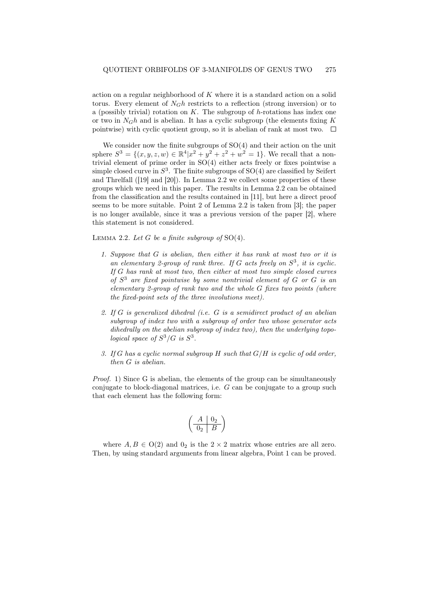action on a regular neighborhood of K where it is a standard action on a solid torus. Every element of N*G*h restricts to a reflection (strong inversion) or to a (possibly trivial) rotation on  $K$ . The subgroup of h-rotations has index one or two in  $N_Gh$  and is abelian. It has a cyclic subgroup (the elements fixing  $K$ pointwise) with cyclic quotient group, so it is abelian of rank at most two.  $\Box$ 

We consider now the finite subgroups of  $SO(4)$  and their action on the unit sphere  $S^3 = \{(x, y, z, w) \in \mathbb{R}^4 | x^2 + y^2 + z^2 + w^2 = 1\}$ . We recall that a nontrivial element of prime order in SO(4) either acts freely or fixes pointwise a simple closed curve in  $S^3$ . The finite subgroups of  $SO(4)$  are classified by Seifert and Threlfall ([19] and [20]). In Lemma 2.2 we collect some properties of these groups which we need in this paper. The results in Lemma 2.2 can be obtained from the classification and the results contained in [11], but here a direct proof seems to be more suitable. Point 2 of Lemma 2.2 is taken from [3]; the paper is no longer available, since it was a previous version of the paper [2], where this statement is not considered.

LEMMA 2.2. Let G be a finite subgroup of  $SO(4)$ .

- 1. Suppose that G is abelian, then either it has rank at most two or it is an elementary 2-group of rank three. If G acts freely on  $S^3$ , it is cyclic. If G has rank at most two, then either at most two simple closed curves of  $S<sup>3</sup>$  are fixed pointwise by some nontrivial element of G or G is an elementary 2-group of rank two and the whole G fixes two points (where the fixed-point sets of the three involutions meet).
- 2. If G is generalized dihedral (i.e. G is a semidirect product of an abelian subgroup of index two with a subgroup of order two whose generator acts dihedrally on the abelian subgroup of index two), then the underlying topological space of  $S^3/G$  is  $S^3$ .
- 3. If G has a cyclic normal subgroup  $H$  such that  $G/H$  is cyclic of odd order, then G is abelian.

Proof. 1) Since G is abelian, the elements of the group can be simultaneously conjugate to block-diagonal matrices, i.e. G can be conjugate to a group such that each element has the following form:

$$
\left(\begin{array}{c|c} A & 0_2 \\ \hline 0_2 & B \end{array}\right)
$$

where  $A, B \in O(2)$  and  $0_2$  is the  $2 \times 2$  matrix whose entries are all zero. Then, by using standard arguments from linear algebra, Point 1 can be proved.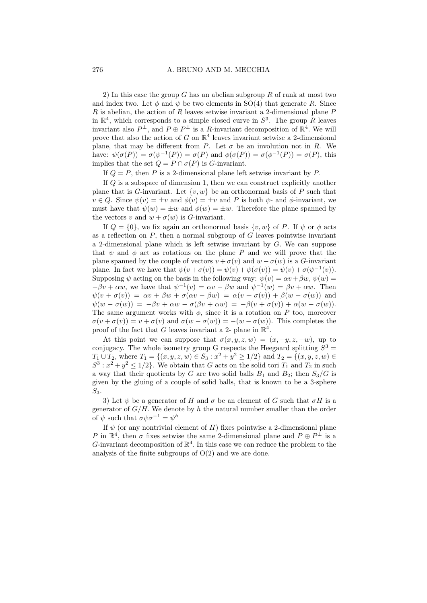2) In this case the group G has an abelian subgroup  $R$  of rank at most two and index two. Let  $\phi$  and  $\psi$  be two elements in SO(4) that generate R. Since  $R$  is abelian, the action of  $R$  leaves setwise invariant a 2-dimensional plane  $P$ in  $\mathbb{R}^4$ , which corresponds to a simple closed curve in  $S^3$ . The group R leaves invariant also  $P^{\perp}$ , and  $P \oplus P^{\perp}$  is a R-invariant decomposition of  $\mathbb{R}^{4}$ . We will prove that also the action of G on  $\mathbb{R}^4$  leaves invariant setwise a 2-dimensional plane, that may be different from P. Let  $\sigma$  be an involution not in R. We have:  $\psi(\sigma(P)) = \sigma(\psi^{-1}(P)) = \sigma(P)$  and  $\phi(\sigma(P)) = \sigma(\phi^{-1}(P)) = \sigma(P)$ , this implies that the set  $Q = P \cap \sigma(P)$  is *G*-invariant.

If  $Q = P$ , then P is a 2-dimensional plane left setwise invariant by P.

If Q is a subspace of dimension 1, then we can construct explicitly another plane that is G-invariant. Let  $\{v, w\}$  be an orthonormal basis of P such that  $v \in Q$ . Since  $\psi(v) = \pm v$  and  $\phi(v) = \pm v$  and P is both  $\psi$ - and  $\phi$ -invariant, we must have that  $\psi(w) = \pm w$  and  $\phi(w) = \pm w$ . Therefore the plane spanned by the vectors v and  $w + \sigma(w)$  is G-invariant.

If  $Q = \{0\}$ , we fix again an orthonormal basis  $\{v, w\}$  of P. If  $\psi$  or  $\phi$  acts as a reflection on  $P$ , then a normal subgroup of  $G$  leaves pointwise invariant a 2-dimensional plane which is left setwise invariant by G. We can suppose that  $\psi$  and  $\phi$  act as rotations on the plane P and we will prove that the plane spanned by the couple of vectors  $v + \sigma(v)$  and  $w - \sigma(w)$  is a G-invariant plane. In fact we have that  $\psi(v + \sigma(v)) = \psi(v) + \psi(\sigma(v)) = \psi(v) + \sigma(\psi^{-1}(v)).$ Supposing  $\psi$  acting on the basis in the following way:  $\psi(v) = \alpha v + \beta w$ ,  $\psi(w) =$  $-\beta v + \alpha w$ , we have that  $\psi^{-1}(v) = \alpha v - \beta w$  and  $\psi^{-1}(w) = \beta v + \alpha w$ . Then  $\psi(v + \sigma(v)) = \alpha v + \beta w + \sigma(\alpha v - \beta w) = \alpha(v + \sigma(v)) + \beta(w - \sigma(w))$  and  $\psi(w - \sigma(w)) = -\beta v + \alpha w - \sigma(\beta v + \alpha w) = -\beta(v + \sigma(v)) + \alpha(w - \sigma(w)).$ The same argument works with  $\phi$ , since it is a rotation on P too, moreover  $\sigma(v + \sigma(v)) = v + \sigma(v)$  and  $\sigma(w - \sigma(w)) = -(w - \sigma(w))$ . This completes the proof of the fact that G leaves invariant a 2- plane in  $\mathbb{R}^4$ .

At this point we can suppose that  $\sigma(x, y, z, w)=(x, -y, z, -w)$ , up to conjugacy. The whole isometry group G respects the Heegaard splitting  $S^3$  =  $T_1 \cup T_2$ , where  $T_1 = \{(x, y, z, w) \in S_3 : x^2 + y^2 \ge 1/2\}$  and  $T_2 = \{(x, y, z, w) \in S_3 : x^2 + y^2 \ge 1/2\}$  $S^3: x^2+y^2 \leq 1/2$ . We obtain that G acts on the solid tori  $T_1$  and  $T_2$  in such a way that their quotients by G are two solid balls  $B_1$  and  $B_2$ ; then  $S_3/G$  is given by the gluing of a couple of solid balls, that is known to be a 3-sphere  $S_3$ .

3) Let  $\psi$  be a generator of H and  $\sigma$  be an element of G such that  $\sigma H$  is a generator of  $G/H$ . We denote by h the natural number smaller than the order of  $\psi$  such that  $\sigma \psi \sigma^{-1} = \psi^h$ 

If  $\psi$  (or any nontrivial element of H) fixes pointwise a 2-dimensional plane P in  $\mathbb{R}^4$ , then  $\sigma$  fixes setwise the same 2-dimensional plane and  $P \oplus P^{\perp}$  is a G-invariant decomposition of  $\mathbb{R}^4$ . In this case we can reduce the problem to the analysis of the finite subgroups of  $O(2)$  and we are done.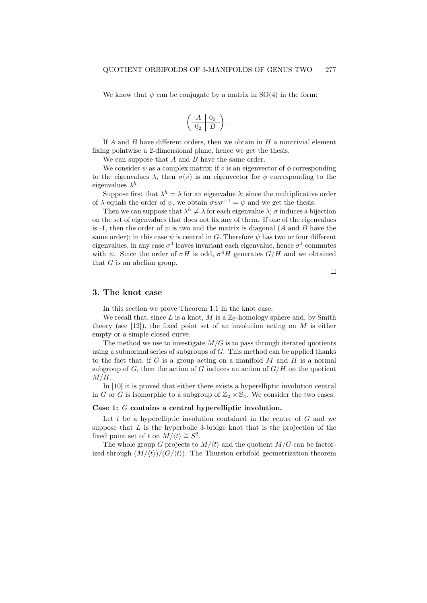We know that  $\psi$  can be conjugate by a matrix in SO(4) in the form:

$$
\left(\begin{array}{c|c} A & 0_2 \\ \hline 0_2 & B \end{array}\right).
$$

If A and B have different orders, then we obtain in  $H$  a nontrivial element fixing pointwise a 2-dimensional plane, hence we get the thesis.

We can suppose that  $A$  and  $B$  have the same order.

We consider  $\psi$  as a complex matrix; if v is an eigenvector of  $\phi$  corresponding to the eigenvalues  $\lambda$ , then  $\sigma(v)$  is an eigenvector for  $\phi$  corresponding to the eigenvalues  $\lambda^h$ .

Suppose first that  $\lambda^h = \lambda$  for an eigenvalue  $\lambda$ ; since the multiplicative order of  $\lambda$  equals the order of  $\psi$ , we obtain  $\sigma \psi \sigma^{-1} = \psi$  and we get the thesis.

Then we can suppose that  $\lambda^h \neq \lambda$  for each eigenvalue  $\lambda$ ;  $\sigma$  induces a bijection on the set of eigenvalues that does not fix any of them. If one of the eigenvalues is -1, then the order of  $\psi$  is two and the matrix is diagonal (A and B have the same order); in this case  $\psi$  is central in G. Therefore  $\psi$  has two or four different eigenvalues, in any case  $\sigma^4$  leaves invariant each eigenvalue, hence  $\sigma^4$  commutes with  $\psi$ . Since the order of  $\sigma H$  is odd,  $\sigma^4 H$  generates  $G/H$  and we obtained that  $G$  is an abelian group.

 $\Box$ 

#### 3. The knot case

In this section we prove Theorem 1.1 in the knot case.

We recall that, since L is a knot, M is a  $\mathbb{Z}_2$ -homology sphere and, by Smith theory (see [12]), the fixed point set of an involution acting on  $M$  is either empty or a simple closed curve.

The method we use to investigate  $M/G$  is to pass through iterated quotients using a subnormal series of subgroups of  $G$ . This method can be applied thanks to the fact that, if  $G$  is a group acting on a manifold  $M$  and  $H$  is a normal subgroup of G, then the action of G induces an action of  $G/H$  on the quotient  $M/H$ .

In [10] it is proved that either there exists a hyperelliptic involution central in G or G is isomorphic to a subgroup of  $\mathbb{Z}_2 \times \mathbb{S}_4$ . We consider the two cases.

#### Case 1: G contains a central hyperelliptic involution.

Let  $t$  be a hyperelliptic involution contained in the centre of  $G$  and we suppose that  $L$  is the hyperbolic 3-bridge knot that is the projection of the fixed point set of t on  $M/\langle t \rangle \cong S^3$ .

The whole group G projects to  $M/(t)$  and the quotient  $M/G$  can be factorized through  $(M/\langle t\rangle)/(G/\langle t\rangle)$ . The Thurston orbifold geometrization theorem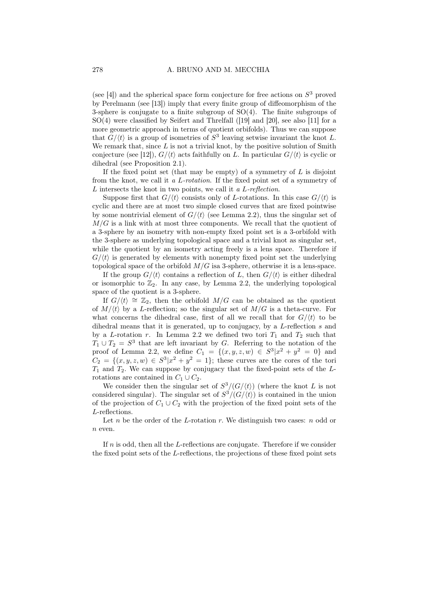(see [4]) and the spherical space form conjecture for free actions on  $S<sup>3</sup>$  proved by Perelmann (see [13]) imply that every finite group of diffeomorphism of the 3-sphere is conjugate to a finite subgroup of  $SO(4)$ . The finite subgroups of SO(4) were classified by Seifert and Threlfall ([19] and [20], see also [11] for a more geometric approach in terms of quotient orbifolds). Thus we can suppose that  $G/\langle t \rangle$  is a group of isometries of  $S^3$  leaving setwise invariant the knot L. We remark that, since  $L$  is not a trivial knot, by the positive solution of Smith conjecture (see [12]),  $G/\langle t \rangle$  acts faithfully on L. In particular  $G/\langle t \rangle$  is cyclic or dihedral (see Proposition 2.1).

If the fixed point set (that may be empty) of a symmetry of  $L$  is disjoint from the knot, we call it a L-rotation. If the fixed point set of a symmetry of L intersects the knot in two points, we call it a L-reflection.

Suppose first that  $G/\langle t \rangle$  consists only of L-rotations. In this case  $G/\langle t \rangle$  is cyclic and there are at most two simple closed curves that are fixed pointwise by some nontrivial element of  $G/\langle t \rangle$  (see Lemma 2.2), thus the singular set of  $M/G$  is a link with at most three components. We recall that the quotient of a 3-sphere by an isometry with non-empty fixed point set is a 3-orbifold with the 3-sphere as underlying topological space and a trivial knot as singular set, while the quotient by an isometry acting freely is a lens space. Therefore if  $G/\langle t \rangle$  is generated by elements with nonempty fixed point set the underlying topological space of the orbifold  $M/G$  is a 3-sphere, otherwise it is a lens-space.

If the group  $G/\langle t \rangle$  contains a reflection of L, then  $G/\langle t \rangle$  is either dihedral or isomorphic to  $\mathbb{Z}_2$ . In any case, by Lemma 2.2, the underlying topological space of the quotient is a 3-sphere.

If  $G/\langle t \rangle \cong \mathbb{Z}_2$ , then the orbifold  $M/G$  can be obtained as the quotient of  $M/\langle t \rangle$  by a L-reflection; so the singular set of  $M/G$  is a theta-curve. For what concerns the dihedral case, first of all we recall that for  $G/\langle t \rangle$  to be dihedral means that it is generated, up to conjugacy, by a L-reflection s and by a L-rotation r. In Lemma 2.2 we defined two tori  $T_1$  and  $T_2$  such that  $T_1 \cup T_2 = S^3$  that are left invariant by G. Referring to the notation of the proof of Lemma 2.2, we define  $C_1 = \{(x, y, z, w) \in S^3 | x^2 + y^2 = 0 \}$  and  $C_2 = \{(x, y, z, w) \in S^3 | x^2 + y^2 = 1 \};$  these curves are the cores of the tori  $T_1$  and  $T_2$ . We can suppose by conjugacy that the fixed-point sets of the Lrotations are contained in  $C_1 \cup C_2$ .

We consider then the singular set of  $S^3/(G/\langle t \rangle)$  (where the knot L is not considered singular). The singular set of  $S^3/(G/\langle t \rangle)$  is contained in the union of the projection of  $C_1 \cup C_2$  with the projection of the fixed point sets of the L-reflections.

Let n be the order of the L-rotation r. We distinguish two cases:  $n$  odd or n even.

If  $n$  is odd, then all the L-reflections are conjugate. Therefore if we consider the fixed point sets of the L-reflections, the projections of these fixed point sets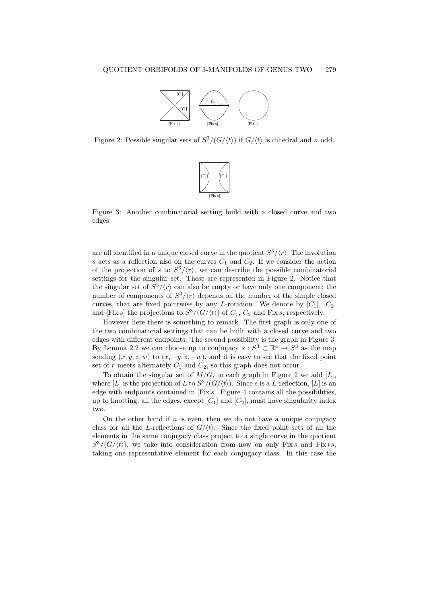

Figure 2: Possible singular sets of  $S^3/(G/\langle t \rangle)$  if  $G/\langle t \rangle$  is dihedral and n odd.



Figure 3: Another combinatorial setting build with a closed curve and two edges.

are all identified in a unique closed curve in the quotient  $S^3/\langle r\rangle$ . The involution s acts as a reflection also on the curves  $C_1$  and  $C_2$ . If we consider the action of the projection of s to  $S^3/\langle r \rangle$ , we can describe the possible combinatorial settings for the singular set. These are represented in Figure 2. Notice that the singular set of  $S^3/\langle r\rangle$  can also be empty or have only one component; the number of components of  $S^3/\langle r\rangle$  depends on the number of the simple closed curves, that are fixed pointwise by any L-rotation. We denote by  $[C_1]$ ,  $[C_2]$ and [Fix s] the projections to  $S^3/(G/\langle t \rangle)$  of  $C_1$ ,  $C_2$  and Fix s, respectively.

However here there is something to remark. The first graph is only one of the two combinatorial settings that can be built with a closed curve and two edges with different endpoints. The second possibility is the graph in Figure 3. By Lemma 2.2 we can choose up to conjugacy  $s : S^3 \subset \mathbb{R}^4 \to S^3$  as the map sending  $(x, y, z, w)$  to  $(x, -y, z, -w)$ , and it is easy to see that the fixed point set of r meets alternately  $C_1$  and  $C_2$ , so this graph does not occur.

To obtain the singular set of  $M/G$ , to each graph in Figure 2 we add [L], where [L] is the projection of L to  $S^3/(G/\langle t\rangle)$ . Since s is a L-reflection, [L] is an edge with endpoints contained in  $[Fix s]$ . Figure 4 contains all the possibilities, up to knotting; all the edges, except  $[C_1]$  and  $[C_2]$ , must have singularity index two.

On the other hand if  $n$  is even, then we do not have a unique conjugacy class for all the L-reflections of  $G/\langle t \rangle$ . Since the fixed point sets of all the elements in the same conjugacy class project to a single curve in the quotient  $S^3/(G/\langle t \rangle)$ , we take into consideration from now on only Fix s and Fix rs, taking one representative element for each conjugacy class. In this case the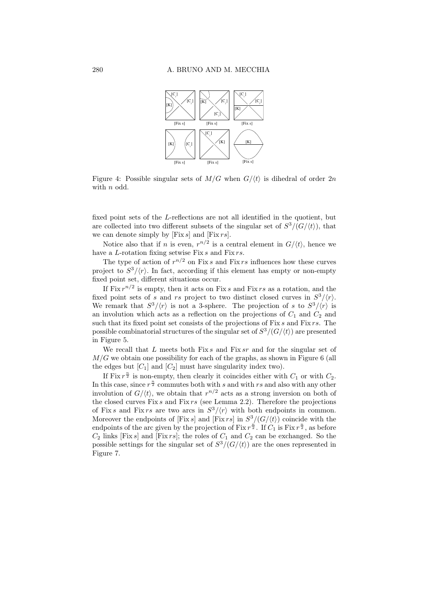

Figure 4: Possible singular sets of  $M/G$  when  $G/\langle t \rangle$  is dihedral of order 2n with *n* odd.

fixed point sets of the L-reflections are not all identified in the quotient, but are collected into two different subsets of the singular set of  $S^3/(G/\langle t \rangle)$ , that we can denote simply by  $[Fix s]$  and  $[Fix rs]$ .

Notice also that if *n* is even,  $r^{n/2}$  is a central element in  $G/\langle t \rangle$ , hence we have a L-rotation fixing setwise Fix s and Fix rs.

The type of action of  $r^{n/2}$  on Fix s and Fix rs influences how these curves project to  $S^3/\langle r\rangle$ . In fact, according if this element has empty or non-empty fixed point set, different situations occur.

If Fix  $r^{n/2}$  is empty, then it acts on Fix s and Fix rs as a rotation, and the fixed point sets of s and rs project to two distinct closed curves in  $S^3/\langle r\rangle$ . We remark that  $S^3/\langle r\rangle$  is not a 3-sphere. The projection of s to  $S^3/\langle r\rangle$  is an involution which acts as a reflection on the projections of  $C_1$  and  $C_2$  and such that its fixed point set consists of the projections of  $Fix s$  and  $Fix rs$ . The possible combinatorial structures of the singular set of  $S^3/(G/\langle t\rangle)$  are presented in Figure 5.

We recall that L meets both Fix s and Fix sr and for the singular set of  $M/G$  we obtain one possibility for each of the graphs, as shown in Figure 6 (all the edges but  $[C_1]$  and  $[C_2]$  must have singularity index two).

If Fix  $r^{\frac{n}{2}}$  is non-empty, then clearly it coincides either with  $C_1$  or with  $C_2$ . In this case, since  $r^{\frac{n}{2}}$  commutes both with s and with rs and also with any other involution of  $G/\langle t \rangle$ , we obtain that  $r^{n/2}$  acts as a strong inversion on both of the closed curves Fix  $s$  and Fix  $rs$  (see Lemma 2.2). Therefore the projections of Fix s and Fix rs are two arcs in  $S^3/\langle r\rangle$  with both endpoints in common. Moreover the endpoints of [Fix s] and [Fix rs] in  $S^3/(G/\langle t \rangle)$  coincide with the endpoints of the arc given by the projection of Fix  $r^{\frac{n}{2}}$ . If  $C_1$  is Fix  $r^{\frac{n}{2}}$ , as before  $C_2$  links [Fix s] and [Fix rs]; the roles of  $C_1$  and  $C_2$  can be exchanged. So the possible settings for the singular set of  $S^3/(G/\langle t \rangle)$  are the ones represented in Figure 7.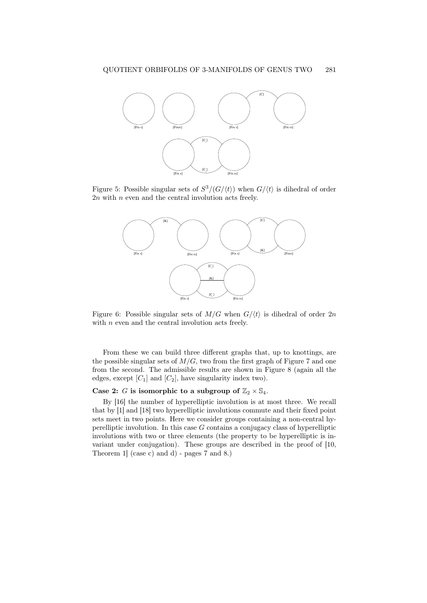

Figure 5: Possible singular sets of  $S^3/(G/\langle t \rangle)$  when  $G/\langle t \rangle$  is dihedral of order  $2n$  with n even and the central involution acts freely.



Figure 6: Possible singular sets of  $M/G$  when  $G/\langle t \rangle$  is dihedral of order 2n with  $n$  even and the central involution acts freely.

From these we can build three different graphs that, up to knottings, are the possible singular sets of  $M/G$ , two from the first graph of Figure 7 and one from the second. The admissible results are shown in Figure 8 (again all the edges, except  $[C_1]$  and  $[C_2]$ , have singularity index two).

### Case 2: G is isomorphic to a subgroup of  $\mathbb{Z}_2 \times \mathbb{S}_4$ .

By [16] the number of hyperelliptic involution is at most three. We recall that by [1] and [18] two hyperelliptic involutions commute and their fixed point sets meet in two points. Here we consider groups containing a non-central hyperelliptic involution. In this case  $G$  contains a conjugacy class of hyperelliptic involutions with two or three elements (the property to be hyperelliptic is invariant under conjugation). These groups are described in the proof of [10, Theorem 1] (case c) and d) - pages 7 and 8.)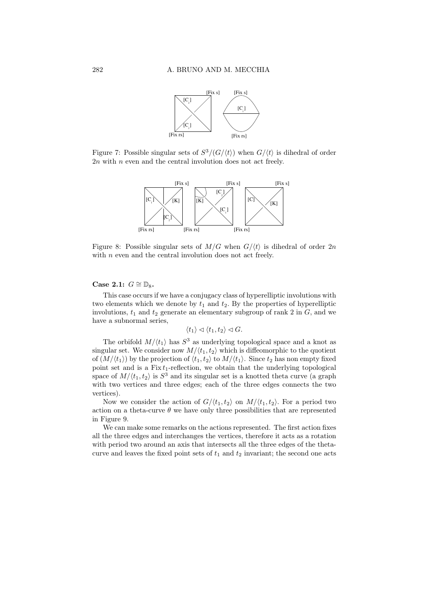

Figure 7: Possible singular sets of  $S^3/(G/\langle t \rangle)$  when  $G/\langle t \rangle$  is dihedral of order  $2n$  with n even and the central involution does not act freely.



Figure 8: Possible singular sets of  $M/G$  when  $G/\langle t \rangle$  is dihedral of order 2n with  $n$  even and the central involution does not act freely.

#### Case 2.1:  $G \cong \mathbb{D}_8$ .

This case occurs if we have a conjugacy class of hyperelliptic involutions with two elements which we denote by  $t_1$  and  $t_2$ . By the properties of hyperelliptic involutions,  $t_1$  and  $t_2$  generate an elementary subgroup of rank 2 in  $G$ , and we have a subnormal series,

$$
\langle t_1 \rangle \lhd \langle t_1, t_2 \rangle \lhd G.
$$

The orbifold  $M/\langle t_1 \rangle$  has  $S^3$  as underlying topological space and a knot as singular set. We consider now  $M/\langle t_1, t_2 \rangle$  which is diffeomorphic to the quotient of  $(M/\langle t_1 \rangle)$  by the projection of  $\langle t_1, t_2 \rangle$  to  $M/\langle t_1 \rangle$ . Since  $t_2$  has non empty fixed point set and is a  $Fix t_1$ -reflection, we obtain that the underlying topological space of  $M/(t_1, t_2)$  is  $S^3$  and its singular set is a knotted theta curve (a graph with two vertices and three edges; each of the three edges connects the two vertices).

Now we consider the action of  $G/\langle t_1, t_2 \rangle$  on  $M/\langle t_1, t_2 \rangle$ . For a period two action on a theta-curve  $\theta$  we have only three possibilities that are represented in Figure 9.

We can make some remarks on the actions represented. The first action fixes all the three edges and interchanges the vertices, therefore it acts as a rotation with period two around an axis that intersects all the three edges of the thetacurve and leaves the fixed point sets of  $t_1$  and  $t_2$  invariant; the second one acts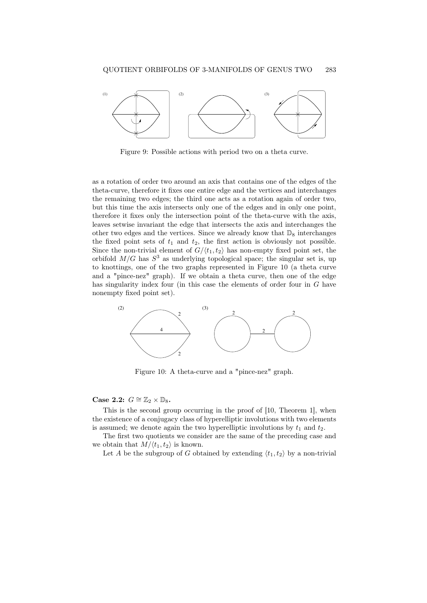

Figure 9: Possible actions with period two on a theta curve.

as a rotation of order two around an axis that contains one of the edges of the theta-curve, therefore it fixes one entire edge and the vertices and interchanges the remaining two edges; the third one acts as a rotation again of order two, but this time the axis intersects only one of the edges and in only one point, therefore it fixes only the intersection point of the theta-curve with the axis, leaves setwise invariant the edge that intersects the axis and interchanges the other two edges and the vertices. Since we already know that  $\mathbb{D}_8$  interchanges the fixed point sets of  $t_1$  and  $t_2$ , the first action is obviously not possible. Since the non-trivial element of  $G/(t_1, t_2)$  has non-empty fixed point set, the orbifold  $M/G$  has  $S^3$  as underlying topological space; the singular set is, up to knottings, one of the two graphs represented in Figure 10 (a theta curve and a "pince-nez" graph). If we obtain a theta curve, then one of the edge has singularity index four (in this case the elements of order four in G have nonempty fixed point set).



Figure 10: A theta-curve and a "pince-nez" graph.

#### Case 2.2:  $G \cong \mathbb{Z}_2 \times \mathbb{D}_8$ .

This is the second group occurring in the proof of [10, Theorem 1], when the existence of a conjugacy class of hyperelliptic involutions with two elements is assumed; we denote again the two hyperelliptic involutions by  $t_1$  and  $t_2$ .

The first two quotients we consider are the same of the preceding case and we obtain that  $M/\langle t_1, t_2 \rangle$  is known.

Let A be the subgroup of G obtained by extending  $\langle t_1, t_2 \rangle$  by a non-trivial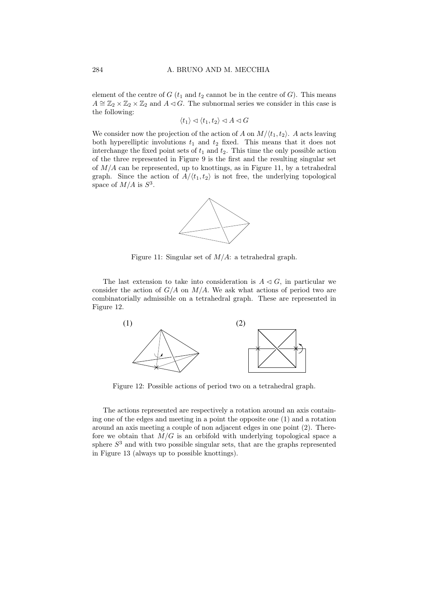element of the centre of  $G$  ( $t_1$  and  $t_2$  cannot be in the centre of  $G$ ). This means  $A \cong \mathbb{Z}_2 \times \mathbb{Z}_2 \times \mathbb{Z}_2$  and  $A \triangleleft G$ . The subnormal series we consider in this case is the following:

 $\langle t_1 \rangle \triangleleft \langle t_1, t_2 \rangle \triangleleft A \triangleleft G$ 

We consider now the projection of the action of A on  $M/(t_1, t_2)$ . A acts leaving both hyperelliptic involutions  $t_1$  and  $t_2$  fixed. This means that it does not interchange the fixed point sets of  $t_1$  and  $t_2$ . This time the only possible action of the three represented in Figure 9 is the first and the resulting singular set of  $M/A$  can be represented, up to knottings, as in Figure 11, by a tetrahedral graph. Since the action of  $A/(t_1, t_2)$  is not free, the underlying topological space of  $M/A$  is  $S^3$ .



Figure 11: Singular set of  $M/A$ : a tetrahedral graph.

The last extension to take into consideration is  $A \triangleleft G$ , in particular we consider the action of  $G/A$  on  $M/A$ . We ask what actions of period two are combinatorially admissible on a tetrahedral graph. These are represented in Figure 12.



Figure 12: Possible actions of period two on a tetrahedral graph.

The actions represented are respectively a rotation around an axis containing one of the edges and meeting in a point the opposite one (1) and a rotation around an axis meeting a couple of non adjacent edges in one point (2). Therefore we obtain that  $M/G$  is an orbifold with underlying topological space a sphere  $S<sup>3</sup>$  and with two possible singular sets, that are the graphs represented in Figure 13 (always up to possible knottings).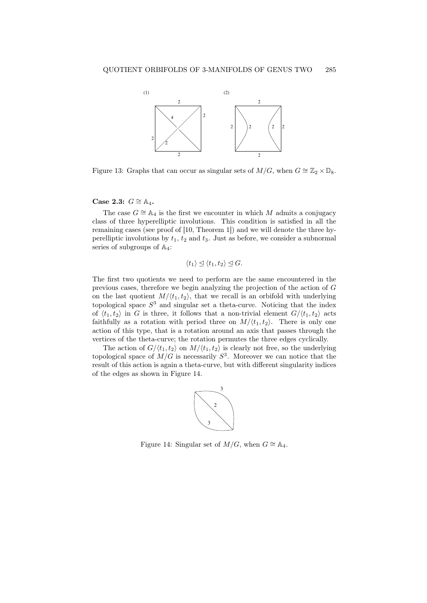

Figure 13: Graphs that can occur as singular sets of  $M/G$ , when  $G \cong \mathbb{Z}_2 \times \mathbb{D}_8$ .

### Case 2.3:  $G \cong A_4$ .

The case  $G \cong A_4$  is the first we encounter in which M admits a conjugacy class of three hyperelliptic involutions. This condition is satisfied in all the remaining cases (see proof of [10, Theorem 1]) and we will denote the three hyperelliptic involutions by  $t_1$ ,  $t_2$  and  $t_3$ . Just as before, we consider a subnormal series of subgroups of  $\mathbb{A}_4$ :

$$
\langle t_1 \rangle \trianglelefteq \langle t_1, t_2 \rangle \trianglelefteq G.
$$

The first two quotients we need to perform are the same encountered in the previous cases, therefore we begin analyzing the projection of the action of G on the last quotient  $M/(t_1, t_2)$ , that we recall is an orbifold with underlying topological space  $S<sup>3</sup>$  and singular set a theta-curve. Noticing that the index of  $\langle t_1, t_2 \rangle$  in G is three, it follows that a non-trivial element  $G/\langle t_1, t_2 \rangle$  acts faithfully as a rotation with period three on  $M/(t_1, t_2)$ . There is only one action of this type, that is a rotation around an axis that passes through the vertices of the theta-curve; the rotation permutes the three edges cyclically.

The action of  $G/\langle t_1, t_2 \rangle$  on  $M/\langle t_1, t_2 \rangle$  is clearly not free, so the underlying topological space of  $M/G$  is necessarily  $S^3$ . Moreover we can notice that the result of this action is again a theta-curve, but with different singularity indices of the edges as shown in Figure 14.



Figure 14: Singular set of  $M/G$ , when  $G \cong A_4$ .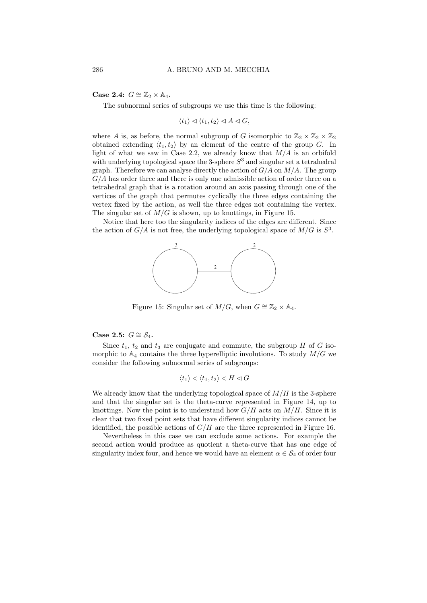Case 2.4:  $G \cong \mathbb{Z}_2 \times \mathbb{A}_4$ .

The subnormal series of subgroups we use this time is the following:

 $\langle t_1 \rangle \triangleleft \langle t_1, t_2 \rangle \triangleleft A \triangleleft G,$ 

where A is, as before, the normal subgroup of G isomorphic to  $\mathbb{Z}_2 \times \mathbb{Z}_2 \times \mathbb{Z}_2$ obtained extending  $\langle t_1, t_2 \rangle$  by an element of the centre of the group G. In light of what we saw in Case 2.2, we already know that  $M/A$  is an orbifold with underlying topological space the 3-sphere  $S<sup>3</sup>$  and singular set a tetrahedral graph. Therefore we can analyse directly the action of  $G/A$  on  $M/A$ . The group  $G/A$  has order three and there is only one admissible action of order three on a tetrahedral graph that is a rotation around an axis passing through one of the vertices of the graph that permutes cyclically the three edges containing the vertex fixed by the action, as well the three edges not containing the vertex. The singular set of  $M/G$  is shown, up to knottings, in Figure 15.

Notice that here too the singularity indices of the edges are different. Since the action of  $G/A$  is not free, the underlying topological space of  $M/G$  is  $S<sup>3</sup>$ .



Figure 15: Singular set of  $M/G$ , when  $G \cong \mathbb{Z}_2 \times \mathbb{A}_4$ .

Case 2.5:  $G \cong S_4$ .

Since  $t_1$ ,  $t_2$  and  $t_3$  are conjugate and commute, the subgroup H of G isomorphic to  $\mathbb{A}_4$  contains the three hyperelliptic involutions. To study  $M/G$  we consider the following subnormal series of subgroups:

$$
\langle t_1 \rangle \lhd \langle t_1, t_2 \rangle \lhd H \lhd G
$$

We already know that the underlying topological space of  $M/H$  is the 3-sphere and that the singular set is the theta-curve represented in Figure 14, up to knottings. Now the point is to understand how  $G/H$  acts on  $M/H$ . Since it is clear that two fixed point sets that have different singularity indices cannot be identified, the possible actions of  $G/H$  are the three represented in Figure 16.

Nevertheless in this case we can exclude some actions. For example the second action would produce as quotient a theta-curve that has one edge of singularity index four, and hence we would have an element  $\alpha \in \mathcal{S}_4$  of order four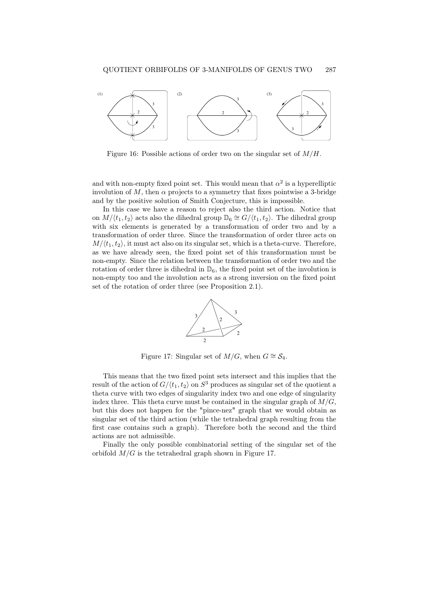

Figure 16: Possible actions of order two on the singular set of  $M/H$ .

and with non-empty fixed point set. This would mean that  $\alpha^2$  is a hyperelliptic involution of M, then  $\alpha$  projects to a symmetry that fixes pointwise a 3-bridge and by the positive solution of Smith Conjecture, this is impossible.

In this case we have a reason to reject also the third action. Notice that on  $M/(t_1, t_2)$  acts also the dihedral group  $\mathbb{D}_6 \cong G/(t_1, t_2)$ . The dihedral group with six elements is generated by a transformation of order two and by a transformation of order three. Since the transformation of order three acts on  $M/\langle t_1, t_2 \rangle$ , it must act also on its singular set, which is a theta-curve. Therefore, as we have already seen, the fixed point set of this transformation must be non-empty. Since the relation between the transformation of order two and the rotation of order three is dihedral in  $\mathbb{D}_6$ , the fixed point set of the involution is non-empty too and the involution acts as a strong inversion on the fixed point set of the rotation of order three (see Proposition 2.1).



Figure 17: Singular set of  $M/G$ , when  $G \cong S_4$ .

This means that the two fixed point sets intersect and this implies that the result of the action of  $G/\langle t_1, t_2 \rangle$  on  $S^3$  produces as singular set of the quotient a theta curve with two edges of singularity index two and one edge of singularity index three. This theta curve must be contained in the singular graph of  $M/G$ , but this does not happen for the "pince-nez" graph that we would obtain as singular set of the third action (while the tetrahedral graph resulting from the first case contains such a graph). Therefore both the second and the third actions are not admissible.

Finally the only possible combinatorial setting of the singular set of the orbifold  $M/G$  is the tetrahedral graph shown in Figure 17.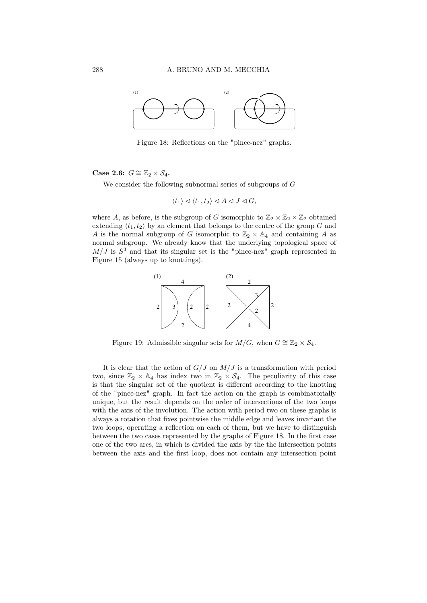

Figure 18: Reflections on the "pince-nez" graphs.

Case 2.6:  $G \cong \mathbb{Z}_2 \times S_4$ .

We consider the following subnormal series of subgroups of G

$$
\langle t_1 \rangle \lhd \langle t_1, t_2 \rangle \lhd A \lhd J \lhd G,
$$

where A, as before, is the subgroup of G isomorphic to  $\mathbb{Z}_2 \times \mathbb{Z}_2 \times \mathbb{Z}_2$  obtained extending  $\langle t_1, t_2 \rangle$  by an element that belongs to the centre of the group G and A is the normal subgroup of G isomorphic to  $\mathbb{Z}_2 \times \mathbb{A}_4$  and containing A as normal subgroup. We already know that the underlying topological space of  $M/J$  is  $S<sup>3</sup>$  and that its singular set is the "pince-nez" graph represented in Figure 15 (always up to knottings).



Figure 19: Admissible singular sets for  $M/G$ , when  $G \cong \mathbb{Z}_2 \times S_4$ .

It is clear that the action of  $G/J$  on  $M/J$  is a transformation with period two, since  $\mathbb{Z}_2 \times \mathbb{A}_4$  has index two in  $\mathbb{Z}_2 \times \mathcal{S}_4$ . The peculiarity of this case is that the singular set of the quotient is different according to the knotting of the "pince-nez" graph. In fact the action on the graph is combinatorially unique, but the result depends on the order of intersections of the two loops with the axis of the involution. The action with period two on these graphs is always a rotation that fixes pointwise the middle edge and leaves invariant the two loops, operating a reflection on each of them, but we have to distinguish between the two cases represented by the graphs of Figure 18. In the first case one of the two arcs, in which is divided the axis by the the intersection points between the axis and the first loop, does not contain any intersection point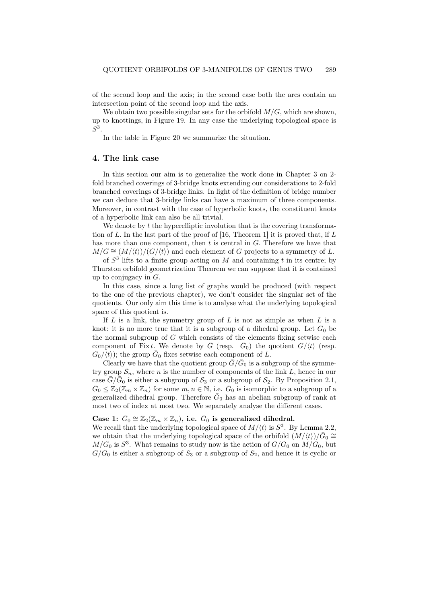of the second loop and the axis; in the second case both the arcs contain an intersection point of the second loop and the axis.

We obtain two possible singular sets for the orbifold  $M/G$ , which are shown, up to knottings, in Figure 19. In any case the underlying topological space is  $S^3$ .

In the table in Figure 20 we summarize the situation.

#### 4. The link case

In this section our aim is to generalize the work done in Chapter 3 on 2 fold branched coverings of 3-bridge knots extending our considerations to 2-fold branched coverings of 3-bridge links. In light of the definition of bridge number we can deduce that 3-bridge links can have a maximum of three components. Moreover, in contrast with the case of hyperbolic knots, the constituent knots of a hyperbolic link can also be all trivial.

We denote by  $t$  the hyperelliptic involution that is the covering transformation of L. In the last part of the proof of [16, Theorem 1] it is proved that, if  $L$ has more than one component, then  $t$  is central in  $G$ . Therefore we have that  $M/G \cong (M/\langle t\rangle)/(G/\langle t\rangle)$  and each element of G projects to a symmetry of L.

of  $S<sup>3</sup>$  lifts to a finite group acting on M and containing t in its centre; by Thurston orbifold geometrization Theorem we can suppose that it is contained up to conjugacy in  $G$ .

In this case, since a long list of graphs would be produced (with respect to the one of the previous chapter), we don't consider the singular set of the quotients. Our only aim this time is to analyse what the underlying topological space of this quotient is.

If  $L$  is a link, the symmetry group of  $L$  is not as simple as when  $L$  is a knot: it is no more true that it is a subgroup of a dihedral group. Let  $G_0$  be the normal subgroup of  $G$  which consists of the elements fixing setwise each component of Fixt. We denote by  $\overline{G}$  (resp.  $\overline{G}_0$ ) the quotient  $G/\langle t \rangle$  (resp.  $G_0/\langle t \rangle$ ; the group  $\bar{G}_0$  fixes setwise each component of L.

Clearly we have that the quotient group  $\bar{G}/\bar{G}_0$  is a subgroup of the symmetry group  $S_n$ , where *n* is the number of components of the link L, hence in our case  $\bar{G}/\bar{G}_0$  is either a subgroup of  $S_3$  or a subgroup of  $S_2$ . By Proposition 2.1,  $\bar{G}_0 \leq \mathbb{Z}_2(\mathbb{Z}_m \times \mathbb{Z}_n)$  for some  $m, n \in \mathbb{N}$ , i.e.  $\bar{G}_0$  is isomorphic to a subgroup of a generalized dihedral group. Therefore  $\bar{G}_0$  has an abelian subgroup of rank at most two of index at most two. We separately analyse the different cases.

### Case 1:  $\bar{G}_0 \cong \mathbb{Z}_2(\mathbb{Z}_m \times \mathbb{Z}_n)$ , i.e.  $\bar{G}_0$  is generalized dihedral.

We recall that the underlying topological space of  $M/\langle t \rangle$  is  $S^3$ . By Lemma 2.2, we obtain that the underlying topological space of the orbifold  $(M/\langle t\rangle)/\bar{G}_0 \cong$  $M/G_0$  is  $S^3$ . What remains to study now is the action of  $G/G_0$  on  $M/G_0$ , but  $G/G_0$  is either a subgroup of  $S_3$  or a subgroup of  $S_2$ , and hence it is cyclic or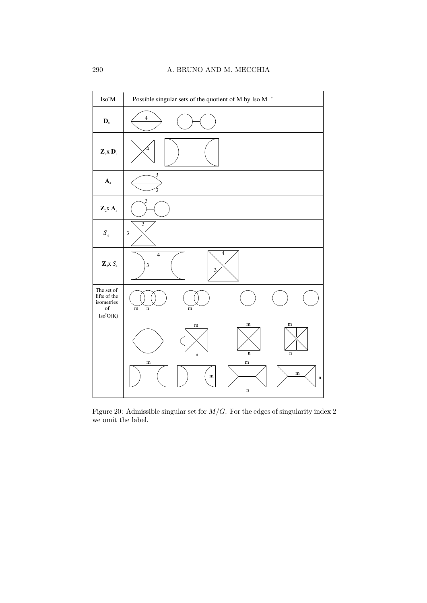

Figure 20: Admissible singular set for  $M/G$ . For the edges of singularity index 2 we omit the label.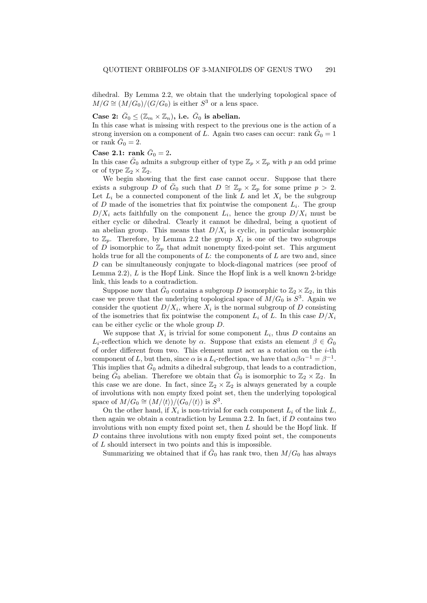dihedral. By Lemma 2.2, we obtain that the underlying topological space of  $M/G \cong (M/G_0)/(G/G_0)$  is either  $S^3$  or a lens space.

## Case 2:  $\bar{G}_0 \leq (\mathbb{Z}_m \times \mathbb{Z}_n)$ , i.e.  $\bar{G}_0$  is abelian.

In this case what is missing with respect to the previous one is the action of a strong inversion on a component of L. Again two cases can occur: rank  $\bar{G}_0 = 1$ or rank  $G_0 = 2$ .

### Case 2.1: rank  $\bar{G}_0 = 2$ .

In this case  $\bar{G}_0$  admits a subgroup either of type  $\mathbb{Z}_p \times \mathbb{Z}_p$  with p an odd prime or of type  $\mathbb{Z}_2 \times \mathbb{Z}_2$ .

We begin showing that the first case cannot occur. Suppose that there exists a subgroup D of  $\bar{G}_0$  such that  $D \cong \mathbb{Z}_p \times \mathbb{Z}_p$  for some prime  $p > 2$ . Let  $L_i$  be a connected component of the link  $L$  and let  $X_i$  be the subgroup of  $D$  made of the isometries that fix pointwise the component  $L_i$ . The group  $D/X_i$  acts faithfully on the component  $L_i$ , hence the group  $D/X_i$  must be either cyclic or dihedral. Clearly it cannot be dihedral, being a quotient of an abelian group. This means that  $D/X_i$  is cyclic, in particular isomorphic to  $\mathbb{Z}_p$ . Therefore, by Lemma 2.2 the group  $X_i$  is one of the two subgroups of D isomorphic to  $\mathbb{Z}_p$  that admit nonempty fixed-point set. This argument holds true for all the components of  $L$ : the components of  $L$  are two and, since D can be simultaneously conjugate to block-diagonal matrices (see proof of Lemma 2.2), L is the Hopf Link. Since the Hopf link is a well known 2-bridge link, this leads to a contradiction.

Suppose now that  $\bar{G}_0$  contains a subgroup D isomorphic to  $\mathbb{Z}_2 \times \mathbb{Z}_2$ , in this case we prove that the underlying topological space of  $M/G_0$  is  $S^3$ . Again we consider the quotient  $D/X_i$ , where  $X_i$  is the normal subgroup of D consisting of the isometries that fix pointwise the component  $L_i$  of  $L$ . In this case  $D/X_i$ can be either cyclic or the whole group D.

We suppose that  $X_i$  is trivial for some component  $L_i$ , thus  $D$  contains an L<sub>i</sub>-reflection which we denote by  $\alpha$ . Suppose that exists an element  $\beta \in \bar{G}_0$ of order different from two. This element must act as a rotation on the i-th component of L, but then, since  $\alpha$  is a L<sub>i</sub>-reflection, we have that  $\alpha\beta\alpha^{-1} = \beta^{-1}$ . This implies that  $\bar{G}_0$  admits a dihedral subgroup, that leads to a contradiction, being  $\bar{G}_0$  abelian. Therefore we obtain that  $\bar{G}_0$  is isomorphic to  $\mathbb{Z}_2 \times \mathbb{Z}_2$ . In this case we are done. In fact, since  $\mathbb{Z}_2 \times \mathbb{Z}_2$  is always generated by a couple of involutions with non empty fixed point set, then the underlying topological space of  $M/G_0 \cong (M/\langle t \rangle)/(G_0/\langle t \rangle)$  is  $S^3$ .

On the other hand, if  $X_i$  is non-trivial for each component  $L_i$  of the link  $L$ , then again we obtain a contradiction by Lemma 2.2. In fact, if  $D$  contains two involutions with non empty fixed point set, then L should be the Hopf link. If D contains three involutions with non empty fixed point set, the components of L should intersect in two points and this is impossible.

Summarizing we obtained that if  $\bar{G}_0$  has rank two, then  $M/G_0$  has always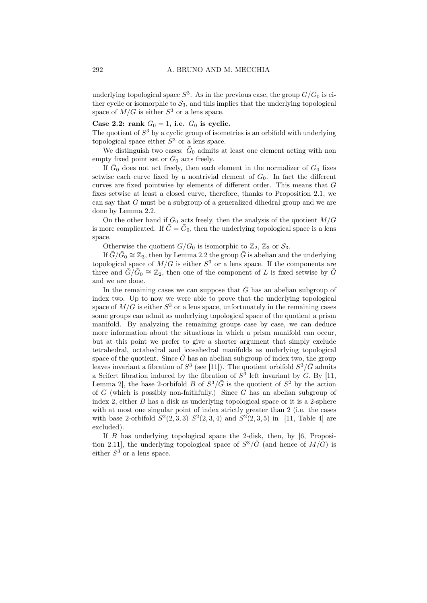underlying topological space  $S^3$ . As in the previous case, the group  $G/G_0$  is either cyclic or isomorphic to  $S_3$ , and this implies that the underlying topological space of  $M/G$  is either  $S^3$  or a lens space.

Case 2.2: rank  $\bar{G}_0 = 1$ , i.e.  $\bar{G}_0$  is cyclic.

The quotient of  $S<sup>3</sup>$  by a cyclic group of isometries is an orbifold with underlying topological space either  $S<sup>3</sup>$  or a lens space.

We distinguish two cases:  $\bar{G}_0$  admits at least one element acting with non empty fixed point set or  $G_0$  acts freely.

If  $\bar{G}_0$  does not act freely, then each element in the normalizer of  $G_0$  fixes setwise each curve fixed by a nontrivial element of  $G_0$ . In fact the different curves are fixed pointwise by elements of different order. This means that G fixes setwise at least a closed curve, therefore, thanks to Proposition 2.1, we can say that G must be a subgroup of a generalized dihedral group and we are done by Lemma 2.2.

On the other hand if  $\bar{G}_0$  acts freely, then the analysis of the quotient  $M/G$ is more complicated. If  $\bar{G} = \bar{G}_0$ , then the underlying topological space is a lens space.

Otherwise the quotient  $G/G_0$  is isomorphic to  $\mathbb{Z}_2$ ,  $\mathbb{Z}_3$  or  $\mathcal{S}_3$ .

If  $\bar{G}/\bar{G}_0 \cong \mathbb{Z}_3$ , then by Lemma 2.2 the group  $\bar{G}$  is abelian and the underlying topological space of  $M/G$  is either  $S^3$  or a lens space. If the components are three and  $\bar{G}/\bar{G}_0 \cong \mathbb{Z}_2$ , then one of the component of L is fixed setwise by  $\bar{G}$ and we are done.

In the remaining cases we can suppose that  $\bar{G}$  has an abelian subgroup of index two. Up to now we were able to prove that the underlying topological space of  $M/G$  is either  $S^3$  or a lens space, unfortunately in the remaining cases some groups can admit as underlying topological space of the quotient a prism manifold. By analyzing the remaining groups case by case, we can deduce more information about the situations in which a prism manifold can occur, but at this point we prefer to give a shorter argument that simply exclude tetrahedral, octahedral and icosahedral manifolds as underlying topological space of the quotient. Since  $\bar{G}$  has an abelian subgroup of index two, the group leaves invariant a fibration of  $S^3$  (see [11]). The quotient orbifold  $S^3/\bar{G}$  admits a Seifert fibration induced by the fibration of  $S^3$  left invariant by  $G$ . By [11, Lemma 2, the base 2-orbifold B of  $S^3/\bar{G}$  is the quotient of  $S^2$  by the action of  $\overline{G}$  (which is possibly non-faithfully.) Since G has an abelian subgroup of index 2, either B has a disk as underlying topological space or it is a 2-sphere with at most one singular point of index strictly greater than 2 (i.e. the cases with base 2-orbifold  $S^2(2,3,3)$   $S^2(2,3,4)$  and  $S^2(2,3,5)$  in [11, Table 4] are excluded).

If B has underlying topological space the 2-disk, then, by [6, Proposition 2.11], the underlying topological space of  $S^3/\bar{G}$  (and hence of  $M/G$ ) is either  $S^3$  or a lens space.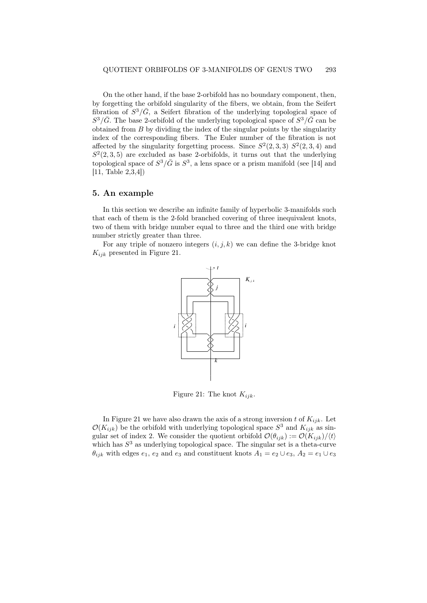On the other hand, if the base 2-orbifold has no boundary component, then, by forgetting the orbifold singularity of the fibers, we obtain, from the Seifert fibration of  $S^3/\bar{G}$ , a Seifert fibration of the underlying topological space of  $S^3/\bar{G}$ . The base 2-orbifold of the underlying topological space of  $S^3/\bar{G}$  can be obtained from  $B$  by dividing the index of the singular points by the singularity index of the corresponding fibers. The Euler number of the fibration is not affected by the singularity forgetting process. Since  $S^2(2,3,3)$   $S^2(2,3,4)$  and  $S<sup>2</sup>(2,3,5)$  are excluded as base 2-orbifolds, it turns out that the underlying topological space of  $S^3/\bar{G}$  is  $S^3$ , a lens space or a prism manifold (see [14] and [11, Table 2,3,4])

### 5. An example

In this section we describe an infinite family of hyperbolic 3-manifolds such that each of them is the 2-fold branched covering of three inequivalent knots, two of them with bridge number equal to three and the third one with bridge number strictly greater than three.

For any triple of nonzero integers  $(i, j, k)$  we can define the 3-bridge knot K*ijk* presented in Figure 21.



Figure 21: The knot K*ijk*.

In Figure 21 we have also drawn the axis of a strong inversion t of  $K_{ijk}$ . Let  $\mathcal{O}(K_{ijk})$  be the orbifold with underlying topological space  $S^3$  and  $K_{ijk}$  as singular set of index 2. We consider the quotient orbifold  $\mathcal{O}(\theta_{ijk}) := \mathcal{O}(K_{ijk})/\langle t \rangle$ which has  $S<sup>3</sup>$  as underlying topological space. The singular set is a theta-curve  $\theta_{ijk}$  with edges  $e_1, e_2$  and  $e_3$  and constituent knots  $A_1 = e_2 \cup e_3$ ,  $A_2 = e_1 \cup e_3$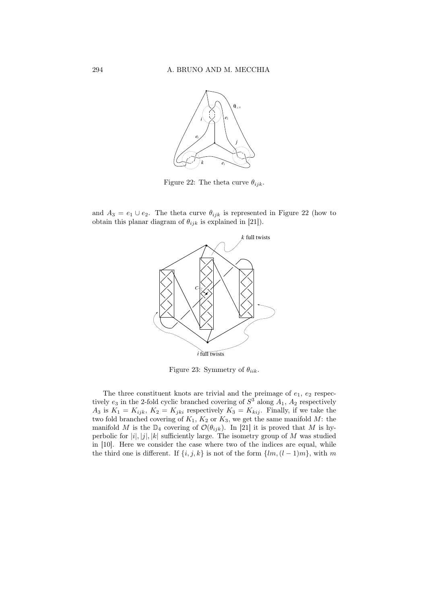

Figure 22: The theta curve  $\theta_{ijk}$ .

and  $A_3 = e_1 \cup e_2$ . The theta curve  $\theta_{ijk}$  is represented in Figure 22 (how to obtain this planar diagram of  $\theta_{ijk}$  is explained in [21]).



Figure 23: Symmetry of θ*iik*.

The three constituent knots are trivial and the preimage of  $e_1, e_2$  respectively  $e_3$  in the 2-fold cyclic branched covering of  $S^3$  along  $A_1$ ,  $A_2$  respectively  $A_3$  is  $K_1 = K_{ijk}$ ,  $K_2 = K_{jki}$  respectively  $K_3 = K_{kij}$ . Finally, if we take the two fold branched covering of  $K_1$ ,  $K_2$  or  $K_3$ , we get the same manifold M: the manifold M is the  $\mathbb{D}_4$  covering of  $\mathcal{O}(\theta_{ijk})$ . In [21] it is proved that M is hyperbolic for  $|i|, |j|, |k|$  sufficiently large. The isometry group of M was studied in [10]. Here we consider the case where two of the indices are equal, while the third one is different. If  $\{i, j, k\}$  is not of the form  $\{lm, (l-1)m\}$ , with m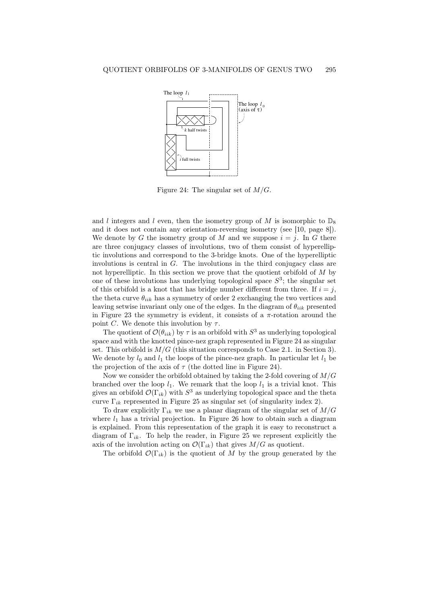

Figure 24: The singular set of  $M/G$ .

and l integers and l even, then the isometry group of M is isomorphic to  $\mathbb{D}_8$ and it does not contain any orientation-reversing isometry (see [10, page 8]). We denote by G the isometry group of M and we suppose  $i = j$ . In G there are three conjugacy classes of involutions, two of them consist of hyperelliptic involutions and correspond to the 3-bridge knots. One of the hyperelliptic involutions is central in  $G$ . The involutions in the third conjugacy class are not hyperelliptic. In this section we prove that the quotient orbifold of M by one of these involutions has underlying topological space  $S^3$ ; the singular set of this orbifold is a knot that has bridge number different from three. If  $i = j$ , the theta curve  $\theta_{iik}$  has a symmetry of order 2 exchanging the two vertices and leaving setwise invariant only one of the edges. In the diagram of  $\theta_{iik}$  presented in Figure 23 the symmetry is evident, it consists of a  $\pi$ -rotation around the point C. We denote this involution by  $\tau$ .

The quotient of  $\mathcal{O}(\theta_{iik})$  by  $\tau$  is an orbifold with  $S^3$  as underlying topological space and with the knotted pince-nez graph represented in Figure 24 as singular set. This orbifold is  $M/G$  (this situation corresponds to Case 2.1. in Section 3). We denote by  $l_0$  and  $l_1$  the loops of the pince-nez graph. In particular let  $l_1$  be the projection of the axis of  $\tau$  (the dotted line in Figure 24).

Now we consider the orbifold obtained by taking the 2-fold covering of M/G branched over the loop  $l_1$ . We remark that the loop  $l_1$  is a trivial knot. This gives an orbifold  $\mathcal{O}(\Gamma_{ik})$  with  $S^3$  as underlying topological space and the theta curve  $\Gamma_{ik}$  represented in Figure 25 as singular set (of singularity index 2).

To draw explicitly  $\Gamma_{ik}$  we use a planar diagram of the singular set of  $M/G$ where  $l_1$  has a trivial projection. In Figure 26 how to obtain such a diagram is explained. From this representation of the graph it is easy to reconstruct a diagram of  $\Gamma_{ik}$ . To help the reader, in Figure 25 we represent explicitly the axis of the involution acting on  $\mathcal{O}(\Gamma_{ik})$  that gives  $M/G$  as quotient.

The orbifold  $\mathcal{O}(\Gamma_{ik})$  is the quotient of M by the group generated by the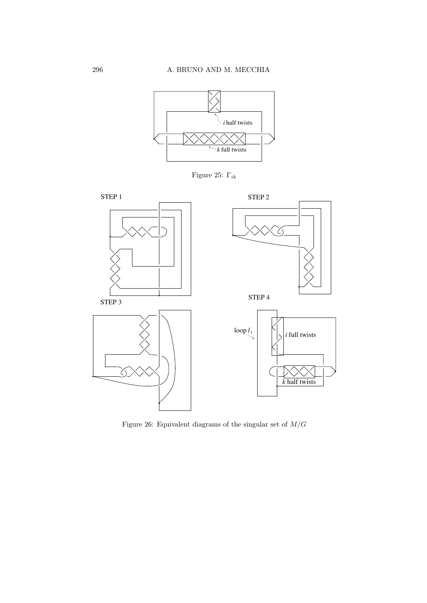





Figure 26: Equivalent diagrams of the singular set of  ${\cal M}/G$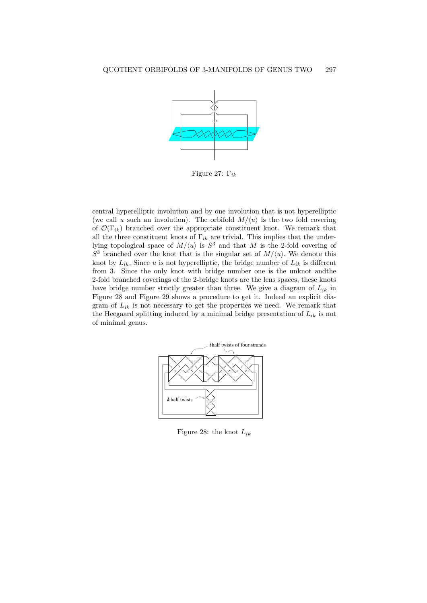

Figure 27: Γ*ik*

central hyperelliptic involution and by one involution that is not hyperelliptic (we call u such an involution). The orbifold  $M/\langle u \rangle$  is the two fold covering of  $\mathcal{O}(\Gamma_{ik})$  branched over the appropriate constituent knot. We remark that all the three constituent knots of  $\Gamma_{ik}$  are trivial. This implies that the underlying topological space of  $M/\langle u \rangle$  is  $S^3$  and that M is the 2-fold covering of  $S^3$  branched over the knot that is the singular set of  $M/\langle u \rangle$ . We denote this knot by  $L_{ik}$ . Since u is not hyperelliptic, the bridge number of  $L_{ik}$  is different from 3. Since the only knot with bridge number one is the unknot andthe 2-fold branched coverings of the 2-bridge knots are the lens spaces, these knots have bridge number strictly greater than three. We give a diagram of L*ik* in Figure 28 and Figure 29 shows a procedure to get it. Indeed an explicit diagram of  $L_{ik}$  is not necessary to get the properties we need. We remark that the Heegaard splitting induced by a minimal bridge presentation of L*ik* is not of minimal genus.



Figure 28: the knot L*ik*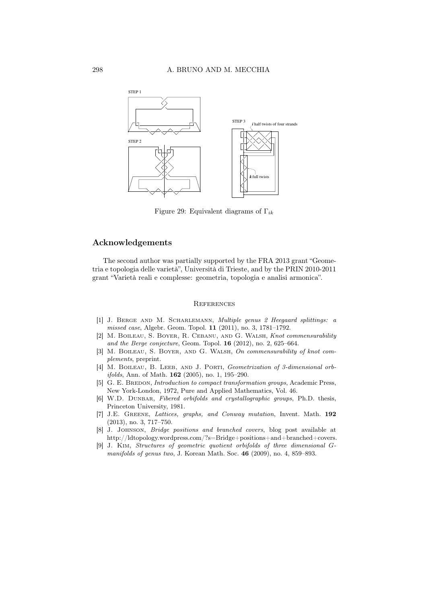

Figure 29: Equivalent diagrams of Γ*ik*

### Acknowledgements

The second author was partially supported by the FRA 2013 grant "Geometria e topologia delle varietà", Università di Trieste, and by the PRIN 2010-2011 grant "Varietà reali e complesse: geometria, topologia e analisi armonica".

#### **REFERENCES**

- [1] J. Berge and M. Scharlemann, *Multiple genus 2 Heegaard splittings: a missed case*, Algebr. Geom. Topol. 11 (2011), no. 3, 1781–1792.
- [2] M. Boileau, S. Boyer, R. Cebanu, and G. Walsh, *Knot commensurability and the Berge conjecture*, Geom. Topol. 16 (2012), no. 2, 625–664.
- [3] M. Boileau, S. Boyer, and G. Walsh, *On commensurability of knot complements*, preprint.
- [4] M. Boileau, B. Leeb, and J. Porti, *Geometrization of 3-dimensional orbifolds*, Ann. of Math. 162 (2005), no. 1, 195–290.
- [5] G. E. BREDON, *Introduction to compact transformation groups*, Academic Press, New York-London, 1972, Pure and Applied Mathematics, Vol. 46.
- [6] W.D. Dunbar, *Fibered orbifolds and crystallographic groups*, Ph.D. thesis, Princeton University, 1981.
- [7] J.E. Greene, *Lattices, graphs, and Conway mutation*, Invent. Math. 192 (2013), no. 3, 717–750.
- [8] J. Johnson, *Bridge positions and branched covers*, blog post available at http://ldtopology.wordpress.com/?s=Bridge+positions+and+branched+covers.
- [9] J. Kim, *Structures of geometric quotient orbifolds of three dimensional Gmanifolds of genus two*, J. Korean Math. Soc. 46 (2009), no. 4, 859–893.